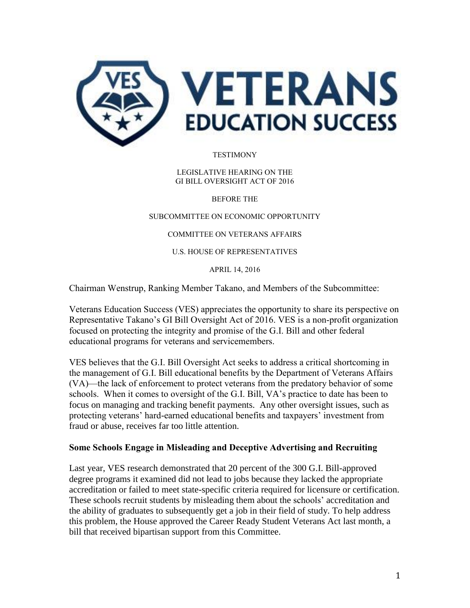

**TESTIMONY** 

LEGISLATIVE HEARING ON THE GI BILL OVERSIGHT ACT OF 2016

BEFORE THE

SUBCOMMITTEE ON ECONOMIC OPPORTUNITY

COMMITTEE ON VETERANS AFFAIRS

U.S. HOUSE OF REPRESENTATIVES

APRIL 14, 2016

Chairman Wenstrup, Ranking Member Takano, and Members of the Subcommittee:

Veterans Education Success (VES) appreciates the opportunity to share its perspective on Representative Takano's GI Bill Oversight Act of 2016. VES is a non-profit organization focused on protecting the integrity and promise of the G.I. Bill and other federal educational programs for veterans and servicemembers.

VES believes that the G.I. Bill Oversight Act seeks to address a critical shortcoming in the management of G.I. Bill educational benefits by the Department of Veterans Affairs (VA)—the lack of enforcement to protect veterans from the predatory behavior of some schools. When it comes to oversight of the G.I. Bill, VA's practice to date has been to focus on managing and tracking benefit payments. Any other oversight issues, such as protecting veterans' hard-earned educational benefits and taxpayers' investment from fraud or abuse, receives far too little attention.

#### **Some Schools Engage in Misleading and Deceptive Advertising and Recruiting**

Last year, VES research demonstrated that 20 percent of the 300 G.I. Bill-approved degree programs it examined did not lead to jobs because they lacked the appropriate accreditation or failed to meet state-specific criteria required for licensure or certification. These schools recruit students by misleading them about the schools' accreditation and the ability of graduates to subsequently get a job in their field of study. To help address this problem, the House approved the Career Ready Student Veterans Act last month, a bill that received bipartisan support from this Committee.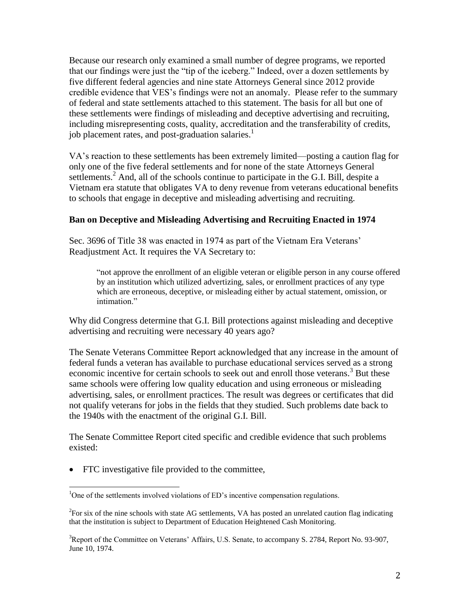Because our research only examined a small number of degree programs, we reported that our findings were just the "tip of the iceberg." Indeed, over a dozen settlements by five different federal agencies and nine state Attorneys General since 2012 provide credible evidence that VES's findings were not an anomaly. Please refer to the summary of federal and state settlements attached to this statement. The basis for all but one of these settlements were findings of misleading and deceptive advertising and recruiting, including misrepresenting costs, quality, accreditation and the transferability of credits, job placement rates, and post-graduation salaries.<sup>1</sup>

VA's reaction to these settlements has been extremely limited—posting a caution flag for only one of the five federal settlements and for none of the state Attorneys General settlements.<sup>2</sup> And, all of the schools continue to participate in the G.I. Bill, despite a Vietnam era statute that obligates VA to deny revenue from veterans educational benefits to schools that engage in deceptive and misleading advertising and recruiting.

#### **Ban on Deceptive and Misleading Advertising and Recruiting Enacted in 1974**

Sec. 3696 of Title 38 was enacted in 1974 as part of the Vietnam Era Veterans' Readjustment Act. It requires the VA Secretary to:

"not approve the enrollment of an eligible veteran or eligible person in any course offered by an institution which utilized advertizing, sales, or enrollment practices of any type which are erroneous, deceptive, or misleading either by actual statement, omission, or intimation."

Why did Congress determine that G.I. Bill protections against misleading and deceptive advertising and recruiting were necessary 40 years ago?

The Senate Veterans Committee Report acknowledged that any increase in the amount of federal funds a veteran has available to purchase educational services served as a strong economic incentive for certain schools to seek out and enroll those veterans.<sup>3</sup> But these same schools were offering low quality education and using erroneous or misleading advertising, sales, or enrollment practices. The result was degrees or certificates that did not qualify veterans for jobs in the fields that they studied. Such problems date back to the 1940s with the enactment of the original G.I. Bill.

The Senate Committee Report cited specific and credible evidence that such problems existed:

FTC investigative file provided to the committee,

 $\overline{\phantom{a}}$ 

<sup>&</sup>lt;sup>1</sup>One of the settlements involved violations of ED's incentive compensation regulations.

 $2$ For six of the nine schools with state AG settlements, VA has posted an unrelated caution flag indicating that the institution is subject to Department of Education Heightened Cash Monitoring.

<sup>&</sup>lt;sup>3</sup>Report of the Committee on Veterans' Affairs, U.S. Senate, to accompany S. 2784, Report No. 93-907, June 10, 1974.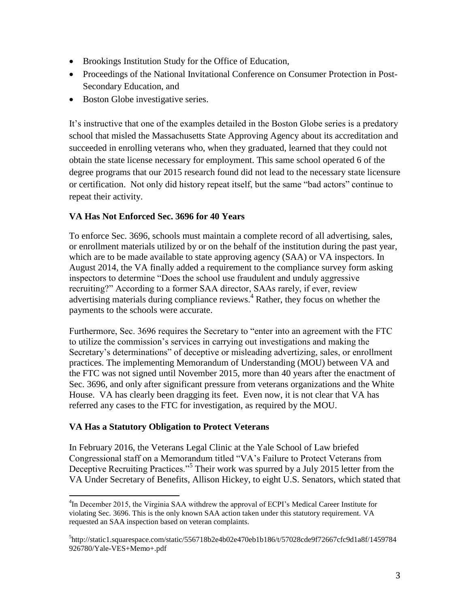- Brookings Institution Study for the Office of Education,
- Proceedings of the National Invitational Conference on Consumer Protection in Post-Secondary Education, and
- Boston Globe investigative series.

It's instructive that one of the examples detailed in the Boston Globe series is a predatory school that misled the Massachusetts State Approving Agency about its accreditation and succeeded in enrolling veterans who, when they graduated, learned that they could not obtain the state license necessary for employment. This same school operated 6 of the degree programs that our 2015 research found did not lead to the necessary state licensure or certification. Not only did history repeat itself, but the same "bad actors" continue to repeat their activity.

# **VA Has Not Enforced Sec. 3696 for 40 Years**

To enforce Sec. 3696, schools must maintain a complete record of all advertising, sales, or enrollment materials utilized by or on the behalf of the institution during the past year, which are to be made available to state approving agency (SAA) or VA inspectors. In August 2014, the VA finally added a requirement to the compliance survey form asking inspectors to determine "Does the school use fraudulent and unduly aggressive recruiting?" According to a former SAA director, SAAs rarely, if ever, review advertising materials during compliance reviews.<sup>4</sup> Rather, they focus on whether the payments to the schools were accurate.

Furthermore, Sec. 3696 requires the Secretary to "enter into an agreement with the FTC to utilize the commission's services in carrying out investigations and making the Secretary's determinations" of deceptive or misleading advertizing, sales, or enrollment practices. The implementing Memorandum of Understanding (MOU) between VA and the FTC was not signed until November 2015, more than 40 years after the enactment of Sec. 3696, and only after significant pressure from veterans organizations and the White House. VA has clearly been dragging its feet. Even now, it is not clear that VA has referred any cases to the FTC for investigation, as required by the MOU.

### **VA Has a Statutory Obligation to Protect Veterans**

In February 2016, the Veterans Legal Clinic at the Yale School of Law briefed Congressional staff on a Memorandum titled "VA's Failure to Protect Veterans from Deceptive Recruiting Practices."<sup>5</sup> Their work was spurred by a July 2015 letter from the VA Under Secretary of Benefits, Allison Hickey, to eight U.S. Senators, which stated that

 $\overline{\phantom{a}}$ <sup>4</sup>In December 2015, the Virginia SAA withdrew the approval of ECPI's Medical Career Institute for violating Sec. 3696. This is the only known SAA action taken under this statutory requirement. VA requested an SAA inspection based on veteran complaints.

<sup>5</sup> http://static1.squarespace.com/static/556718b2e4b02e470eb1b186/t/57028cde9f72667cfc9d1a8f/1459784 926780/Yale-VES+Memo+.pdf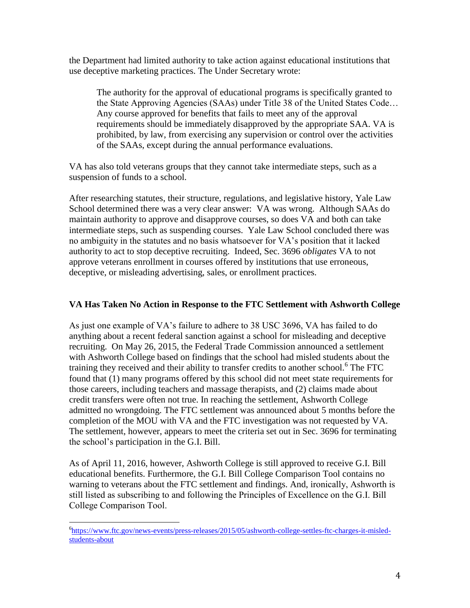the Department had limited authority to take action against educational institutions that use deceptive marketing practices. The Under Secretary wrote:

The authority for the approval of educational programs is specifically granted to the State Approving Agencies (SAAs) under Title 38 of the United States Code… Any course approved for benefits that fails to meet any of the approval requirements should be immediately disapproved by the appropriate SAA. VA is prohibited, by law, from exercising any supervision or control over the activities of the SAAs, except during the annual performance evaluations.

VA has also told veterans groups that they cannot take intermediate steps, such as a suspension of funds to a school.

After researching statutes, their structure, regulations, and legislative history, Yale Law School determined there was a very clear answer: VA was wrong. Although SAAs do maintain authority to approve and disapprove courses, so does VA and both can take intermediate steps, such as suspending courses. Yale Law School concluded there was no ambiguity in the statutes and no basis whatsoever for VA's position that it lacked authority to act to stop deceptive recruiting. Indeed, Sec. 3696 *obligates* VA to not approve veterans enrollment in courses offered by institutions that use erroneous, deceptive, or misleading advertising, sales, or enrollment practices.

### **VA Has Taken No Action in Response to the FTC Settlement with Ashworth College**

As just one example of VA's failure to adhere to 38 USC 3696, VA has failed to do anything about a recent federal sanction against a school for misleading and deceptive recruiting. On May 26, 2015, the Federal Trade Commission announced a settlement with Ashworth College based on findings that the school had misled students about the training they received and their ability to transfer credits to another school.<sup>6</sup> The FTC found that (1) many programs offered by this school did not meet state requirements for those careers, including teachers and massage therapists, and (2) claims made about credit transfers were often not true. In reaching the settlement, Ashworth College admitted no wrongdoing. The FTC settlement was announced about 5 months before the completion of the MOU with VA and the FTC investigation was not requested by VA. The settlement, however, appears to meet the criteria set out in Sec. 3696 for terminating the school's participation in the G.I. Bill.

As of April 11, 2016, however, Ashworth College is still approved to receive G.I. Bill educational benefits. Furthermore, the G.I. Bill College Comparison Tool contains no warning to veterans about the FTC settlement and findings. And, ironically, Ashworth is still listed as subscribing to and following the Principles of Excellence on the G.I. Bill College Comparison Tool.

 $\overline{\phantom{a}}$ 

<sup>&</sup>lt;sup>6</sup>[https://www.ftc.gov/news-events/press-releases/2015/05/ashworth-college-settles-ftc-charges-it-misled](https://www.ftc.gov/news-events/press-releases/2015/05/ashworth-college-settles-ftc-charges-it-misled-students-about)[students-about](https://www.ftc.gov/news-events/press-releases/2015/05/ashworth-college-settles-ftc-charges-it-misled-students-about)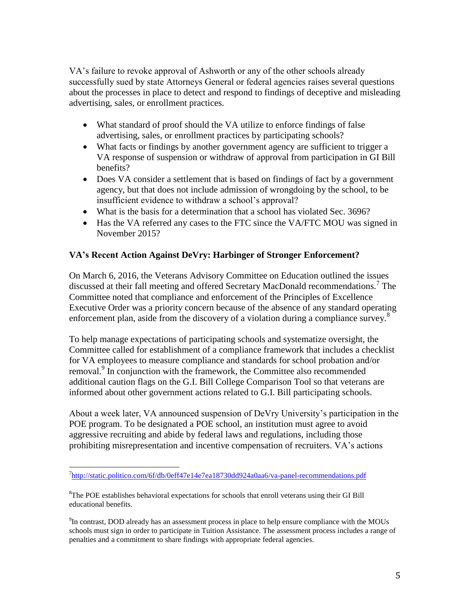VA's failure to revoke approval of Ashworth or any of the other schools already successfully sued by state Attorneys General or federal agencies raises several questions about the processes in place to detect and respond to findings of deceptive and misleading advertising, sales, or enrollment practices.

- What standard of proof should the VA utilize to enforce findings of false advertising, sales, or enrollment practices by participating schools?
- What facts or findings by another government agency are sufficient to trigger a VA response of suspension or withdraw of approval from participation in GI Bill benefits?
- Does VA consider a settlement that is based on findings of fact by a government agency, but that does not include admission of wrongdoing by the school, to be insufficient evidence to withdraw a school's approval?
- What is the basis for a determination that a school has violated Sec. 3696?
- Has the VA referred any cases to the FTC since the VA/FTC MOU was signed in November 2015?

# **VA's Recent Action Against DeVry: Harbinger of Stronger Enforcement?**

On March 6, 2016, the Veterans Advisory Committee on Education outlined the issues discussed at their fall meeting and offered Secretary MacDonald recommendations.<sup>7</sup> The Committee noted that compliance and enforcement of the Principles of Excellence Executive Order was a priority concern because of the absence of any standard operating enforcement plan, aside from the discovery of a violation during a compliance survey.<sup>8</sup>

To help manage expectations of participating schools and systematize oversight, the Committee called for establishment of a compliance framework that includes a checklist for VA employees to measure compliance and standards for school probation and/or removal.<sup>9</sup> In conjunction with the framework, the Committee also recommended additional caution flags on the G.I. Bill College Comparison Tool so that veterans are informed about other government actions related to G.I. Bill participating schools.

About a week later, VA announced suspension of DeVry University's participation in the POE program. To be designated a POE school, an institution must agree to avoid aggressive recruiting and abide by federal laws and regulations, including those prohibiting misrepresentation and incentive compensation of recruiters. VA's actions

 $\overline{\phantom{a}}$ <sup>7</sup><http://static.politico.com/6f/db/0eff47e14e7ea18730dd924a0aa6/va-panel-recommendations.pdf>

<sup>&</sup>lt;sup>8</sup>The POE establishes behavioral expectations for schools that enroll veterans using their GI Bill educational benefits.

 $^{9}$ In contrast, DOD already has an assessment process in place to help ensure compliance with the MOUs schools must sign in order to participate in Tuition Assistance. The assessment process includes a range of penalties and a commitment to share findings with appropriate federal agencies.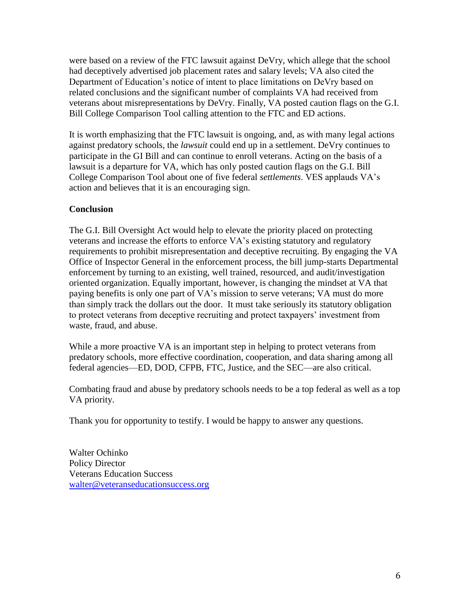were based on a review of the FTC lawsuit against DeVry, which allege that the school had deceptively advertised job placement rates and salary levels; VA also cited the Department of Education's notice of intent to place limitations on DeVry based on related conclusions and the significant number of complaints VA had received from veterans about misrepresentations by DeVry. Finally, VA posted caution flags on the G.I. Bill College Comparison Tool calling attention to the FTC and ED actions.

It is worth emphasizing that the FTC lawsuit is ongoing, and, as with many legal actions against predatory schools, the *lawsuit* could end up in a settlement. DeVry continues to participate in the GI Bill and can continue to enroll veterans. Acting on the basis of a lawsuit is a departure for VA, which has only posted caution flags on the G.I. Bill College Comparison Tool about one of five federal *settlements*. VES applauds VA's action and believes that it is an encouraging sign.

### **Conclusion**

The G.I. Bill Oversight Act would help to elevate the priority placed on protecting veterans and increase the efforts to enforce VA's existing statutory and regulatory requirements to prohibit misrepresentation and deceptive recruiting. By engaging the VA Office of Inspector General in the enforcement process, the bill jump-starts Departmental enforcement by turning to an existing, well trained, resourced, and audit/investigation oriented organization. Equally important, however, is changing the mindset at VA that paying benefits is only one part of VA's mission to serve veterans; VA must do more than simply track the dollars out the door. It must take seriously its statutory obligation to protect veterans from deceptive recruiting and protect taxpayers' investment from waste, fraud, and abuse.

While a more proactive VA is an important step in helping to protect veterans from predatory schools, more effective coordination, cooperation, and data sharing among all federal agencies—ED, DOD, CFPB, FTC, Justice, and the SEC—are also critical.

Combating fraud and abuse by predatory schools needs to be a top federal as well as a top VA priority.

Thank you for opportunity to testify. I would be happy to answer any questions.

Walter Ochinko Policy Director Veterans Education Success [walter@veteranseducationsuccess.org](mailto:walter@veteranseducationsuccess.org)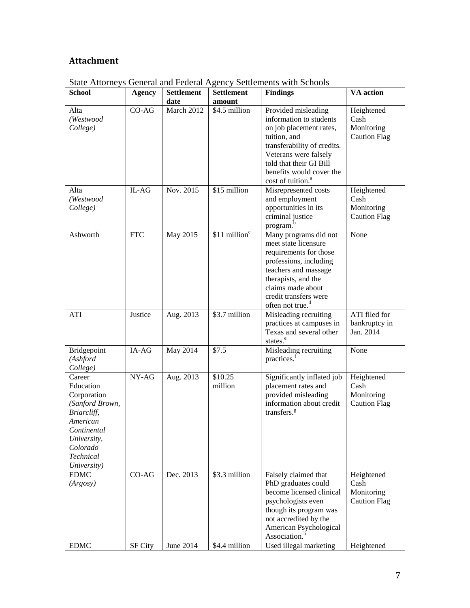# **Attachment**

| <b>School</b>                                                                                                                                          | <b>Agency</b>             | <b>Settlement</b>       | <b>Settlement</b>              | <b>Findings</b>                                                                                                                                                                                                                                                   | <b>VA</b> action                                                      |
|--------------------------------------------------------------------------------------------------------------------------------------------------------|---------------------------|-------------------------|--------------------------------|-------------------------------------------------------------------------------------------------------------------------------------------------------------------------------------------------------------------------------------------------------------------|-----------------------------------------------------------------------|
|                                                                                                                                                        |                           | date                    | amount                         |                                                                                                                                                                                                                                                                   |                                                                       |
| Alta<br>(Westwood<br>College)<br>Alta                                                                                                                  | $CO-AG$<br>IL-AG          | March 2012<br>Nov. 2015 | \$4.5 million<br>\$15 million  | Provided misleading<br>information to students<br>on job placement rates,<br>tuition, and<br>transferability of credits.<br>Veterans were falsely<br>told that their GI Bill<br>benefits would cover the<br>cost of tuition. <sup>a</sup><br>Misrepresented costs | Heightened<br>Cash<br>Monitoring<br><b>Caution Flag</b><br>Heightened |
| (Westwood<br>College)                                                                                                                                  |                           |                         |                                | and employment<br>opportunities in its<br>criminal justice<br>program. <sup>b</sup>                                                                                                                                                                               | Cash<br>Monitoring<br><b>Caution Flag</b>                             |
| Ashworth                                                                                                                                               | <b>FTC</b>                | May 2015                | $$11$ million <sup>c</sup>     | Many programs did not<br>meet state licensure<br>requirements for those<br>professions, including<br>teachers and massage<br>therapists, and the<br>claims made about<br>credit transfers were<br>often not true. <sup>d</sup>                                    | None                                                                  |
| ATI                                                                                                                                                    | Justice                   | Aug. 2013               | $$3.7$ million                 | Misleading recruiting<br>practices at campuses in<br>Texas and several other<br>states. <sup>e</sup>                                                                                                                                                              | ATI filed for<br>bankruptcy in<br>Jan. 2014                           |
| Bridgepoint<br>(Ashford<br>College)                                                                                                                    | IA-AG                     | May 2014                | \$7.5                          | Misleading recruiting<br>practices. <sup>f</sup>                                                                                                                                                                                                                  | None                                                                  |
| Career<br>Education<br>Corporation<br>(Sanford Brown,<br>Briarcliff,<br>American<br>Continental<br>University,<br>Colorado<br>Technical<br>University) | NY-AG                     | Aug. 2013               | \$10.25<br>million             | Significantly inflated job<br>placement rates and<br>provided misleading<br>information about credit<br>transfers. <sup>g</sup>                                                                                                                                   | Heightened<br>Cash<br>Monitoring<br><b>Caution Flag</b>               |
| EDMC<br>(Argosy)<br><b>EDMC</b>                                                                                                                        | $CO-AG$<br><b>SF City</b> | Dec. 2013<br>June 2014  | \$3.3 million<br>\$4.4 million | Falsely claimed that<br>PhD graduates could<br>become licensed clinical<br>psychologists even<br>though its program was<br>not accredited by the<br>American Psychological<br>Association. <sup>h</sup><br>Used illegal marketing                                 | Heightened<br>Cash<br>Monitoring<br><b>Caution Flag</b><br>Heightened |
|                                                                                                                                                        |                           |                         |                                |                                                                                                                                                                                                                                                                   |                                                                       |

State Attorneys General and Federal Agency Settlements with Schools